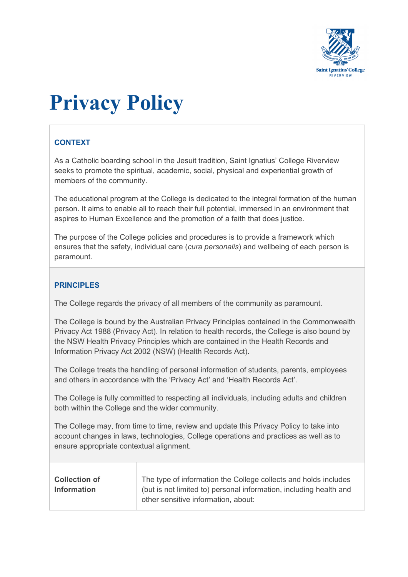

## **Privacy Policy**

## **CONTEXT**

As a Catholic boarding school in the Jesuit tradition, Saint Ignatius' College Riverview seeks to promote the spiritual, academic, social, physical and experiential growth of members of the community.

The educational program at the College is dedicated to the integral formation of the human person. It aims to enable all to reach their full potential, immersed in an environment that aspires to Human Excellence and the promotion of a faith that does justice.

The purpose of the College policies and procedures is to provide a framework which ensures that the safety, individual care (*cura personalis*) and wellbeing of each person is paramount.

## **PRINCIPLES**

The College regards the privacy of all members of the community as paramount.

The College is bound by the Australian Privacy Principles contained in the Commonwealth Privacy Act 1988 (Privacy Act). In relation to health records, the College is also bound by the NSW Health Privacy Principles which are contained in the Health Records and Information Privacy Act 2002 (NSW) (Health Records Act).

The College treats the handling of personal information of students, parents, employees and others in accordance with the 'Privacy Act' and 'Health Records Act'.

The College is fully committed to respecting all individuals, including adults and children both within the College and the wider community.

The College may, from time to time, review and update this Privacy Policy to take into account changes in laws, technologies, College operations and practices as well as to ensure appropriate contextual alignment.

| <b>Collection of</b> | The type of information the College collects and holds includes                                           |  |  |
|----------------------|-----------------------------------------------------------------------------------------------------------|--|--|
| <b>Information</b>   | (but is not limited to) personal information, including health and<br>other sensitive information, about: |  |  |
|                      |                                                                                                           |  |  |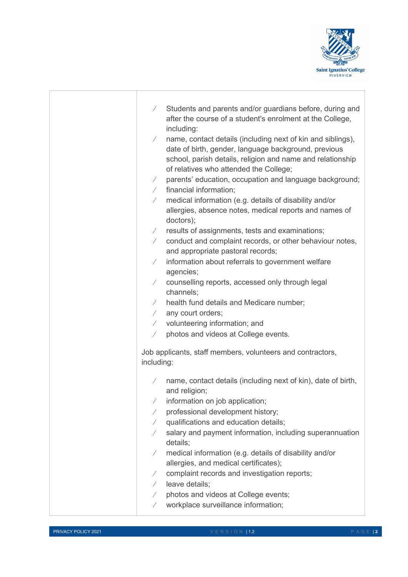

| Students and parents and/or guardians before, during and<br>after the course of a student's enrolment at the College,<br>including:<br>name, contact details (including next of kin and siblings),<br>$\sqrt{2}$<br>date of birth, gender, language background, previous<br>school, parish details, religion and name and relationship<br>of relatives who attended the College;<br>parents' education, occupation and language background;<br>$\sqrt{2}$<br>financial information;<br>$\sqrt{2}$<br>medical information (e.g. details of disability and/or<br>$\sqrt{2}$<br>allergies, absence notes, medical reports and names of<br>doctors);<br>results of assignments, tests and examinations;<br>$\sqrt{2}$<br>conduct and complaint records, or other behaviour notes,<br>$\sqrt{2}$<br>and appropriate pastoral records;<br>information about referrals to government welfare<br>$\sqrt{2}$<br>agencies;<br>counselling reports, accessed only through legal<br>$\sqrt{2}$<br>channels;<br>health fund details and Medicare number;<br>$\sqrt{2}$<br>any court orders;<br>$\sqrt{2}$<br>volunteering information; and<br>$\sqrt{2}$<br>photos and videos at College events.<br>Γ |
|------------------------------------------------------------------------------------------------------------------------------------------------------------------------------------------------------------------------------------------------------------------------------------------------------------------------------------------------------------------------------------------------------------------------------------------------------------------------------------------------------------------------------------------------------------------------------------------------------------------------------------------------------------------------------------------------------------------------------------------------------------------------------------------------------------------------------------------------------------------------------------------------------------------------------------------------------------------------------------------------------------------------------------------------------------------------------------------------------------------------------------------------------------------------------------------|
|                                                                                                                                                                                                                                                                                                                                                                                                                                                                                                                                                                                                                                                                                                                                                                                                                                                                                                                                                                                                                                                                                                                                                                                          |
| Job applicants, staff members, volunteers and contractors,                                                                                                                                                                                                                                                                                                                                                                                                                                                                                                                                                                                                                                                                                                                                                                                                                                                                                                                                                                                                                                                                                                                               |
| including:                                                                                                                                                                                                                                                                                                                                                                                                                                                                                                                                                                                                                                                                                                                                                                                                                                                                                                                                                                                                                                                                                                                                                                               |
|                                                                                                                                                                                                                                                                                                                                                                                                                                                                                                                                                                                                                                                                                                                                                                                                                                                                                                                                                                                                                                                                                                                                                                                          |
| name, contact details (including next of kin), date of birth,<br>$\sqrt{2}$<br>and religion;                                                                                                                                                                                                                                                                                                                                                                                                                                                                                                                                                                                                                                                                                                                                                                                                                                                                                                                                                                                                                                                                                             |
| information on job application;<br>$\sqrt{2}$                                                                                                                                                                                                                                                                                                                                                                                                                                                                                                                                                                                                                                                                                                                                                                                                                                                                                                                                                                                                                                                                                                                                            |
| professional development history;<br>$\sqrt{2}$                                                                                                                                                                                                                                                                                                                                                                                                                                                                                                                                                                                                                                                                                                                                                                                                                                                                                                                                                                                                                                                                                                                                          |
| qualifications and education details;                                                                                                                                                                                                                                                                                                                                                                                                                                                                                                                                                                                                                                                                                                                                                                                                                                                                                                                                                                                                                                                                                                                                                    |
| salary and payment information, including superannuation<br>details;                                                                                                                                                                                                                                                                                                                                                                                                                                                                                                                                                                                                                                                                                                                                                                                                                                                                                                                                                                                                                                                                                                                     |
| medical information (e.g. details of disability and/or                                                                                                                                                                                                                                                                                                                                                                                                                                                                                                                                                                                                                                                                                                                                                                                                                                                                                                                                                                                                                                                                                                                                   |
| allergies, and medical certificates);                                                                                                                                                                                                                                                                                                                                                                                                                                                                                                                                                                                                                                                                                                                                                                                                                                                                                                                                                                                                                                                                                                                                                    |
| complaint records and investigation reports;<br>Γ.                                                                                                                                                                                                                                                                                                                                                                                                                                                                                                                                                                                                                                                                                                                                                                                                                                                                                                                                                                                                                                                                                                                                       |
| leave details;<br>$\sqrt{2}$                                                                                                                                                                                                                                                                                                                                                                                                                                                                                                                                                                                                                                                                                                                                                                                                                                                                                                                                                                                                                                                                                                                                                             |
| photos and videos at College events;                                                                                                                                                                                                                                                                                                                                                                                                                                                                                                                                                                                                                                                                                                                                                                                                                                                                                                                                                                                                                                                                                                                                                     |
| workplace surveillance information;<br>Γ                                                                                                                                                                                                                                                                                                                                                                                                                                                                                                                                                                                                                                                                                                                                                                                                                                                                                                                                                                                                                                                                                                                                                 |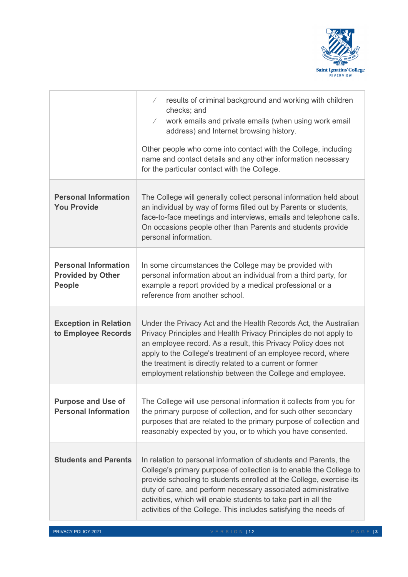

|                                                                          | results of criminal background and working with children<br>$\sqrt{2}$<br>checks; and<br>work emails and private emails (when using work email<br>$\sqrt{2}$<br>address) and Internet browsing history.<br>Other people who come into contact with the College, including<br>name and contact details and any other information necessary<br>for the particular contact with the College.                             |  |  |  |  |
|--------------------------------------------------------------------------|-----------------------------------------------------------------------------------------------------------------------------------------------------------------------------------------------------------------------------------------------------------------------------------------------------------------------------------------------------------------------------------------------------------------------|--|--|--|--|
| <b>Personal Information</b><br><b>You Provide</b>                        | The College will generally collect personal information held about<br>an individual by way of forms filled out by Parents or students,<br>face-to-face meetings and interviews, emails and telephone calls.<br>On occasions people other than Parents and students provide<br>personal information.                                                                                                                   |  |  |  |  |
| <b>Personal Information</b><br><b>Provided by Other</b><br><b>People</b> | In some circumstances the College may be provided with<br>personal information about an individual from a third party, for<br>example a report provided by a medical professional or a<br>reference from another school.                                                                                                                                                                                              |  |  |  |  |
| <b>Exception in Relation</b><br>to Employee Records                      | Under the Privacy Act and the Health Records Act, the Australian<br>Privacy Principles and Health Privacy Principles do not apply to<br>an employee record. As a result, this Privacy Policy does not<br>apply to the College's treatment of an employee record, where<br>the treatment is directly related to a current or former<br>employment relationship between the College and employee.                       |  |  |  |  |
| <b>Purpose and Use of</b><br><b>Personal Information</b>                 | The College will use personal information it collects from you for<br>the primary purpose of collection, and for such other secondary<br>purposes that are related to the primary purpose of collection and<br>reasonably expected by you, or to which you have consented.                                                                                                                                            |  |  |  |  |
| <b>Students and Parents</b>                                              | In relation to personal information of students and Parents, the<br>College's primary purpose of collection is to enable the College to<br>provide schooling to students enrolled at the College, exercise its<br>duty of care, and perform necessary associated administrative<br>activities, which will enable students to take part in all the<br>activities of the College. This includes satisfying the needs of |  |  |  |  |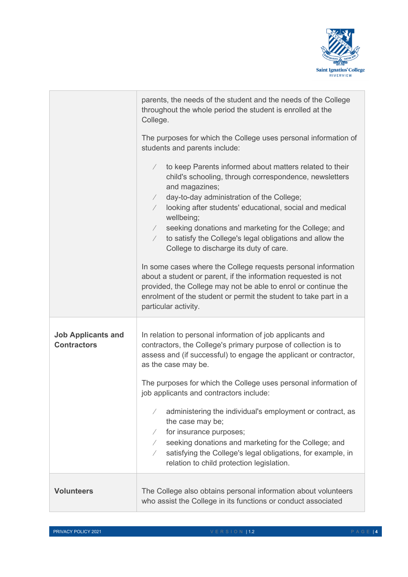

|                                                 | parents, the needs of the student and the needs of the College<br>throughout the whole period the student is enrolled at the<br>College.                                                                                                                                                                                                                                                                                                                                                      |  |  |  |  |
|-------------------------------------------------|-----------------------------------------------------------------------------------------------------------------------------------------------------------------------------------------------------------------------------------------------------------------------------------------------------------------------------------------------------------------------------------------------------------------------------------------------------------------------------------------------|--|--|--|--|
|                                                 | The purposes for which the College uses personal information of<br>students and parents include:                                                                                                                                                                                                                                                                                                                                                                                              |  |  |  |  |
|                                                 | to keep Parents informed about matters related to their<br>$\sqrt{2}$<br>child's schooling, through correspondence, newsletters<br>and magazines;<br>day-to-day administration of the College;<br>$\sqrt{2}$<br>looking after students' educational, social and medical<br>$\sqrt{2}$<br>wellbeing;<br>seeking donations and marketing for the College; and<br>$\sqrt{2}$<br>to satisfy the College's legal obligations and allow the<br>$\sqrt{2}$<br>College to discharge its duty of care. |  |  |  |  |
|                                                 | In some cases where the College requests personal information<br>about a student or parent, if the information requested is not<br>provided, the College may not be able to enrol or continue the<br>enrolment of the student or permit the student to take part in a<br>particular activity.                                                                                                                                                                                                 |  |  |  |  |
| <b>Job Applicants and</b><br><b>Contractors</b> | In relation to personal information of job applicants and<br>contractors, the College's primary purpose of collection is to<br>assess and (if successful) to engage the applicant or contractor,<br>as the case may be.                                                                                                                                                                                                                                                                       |  |  |  |  |
|                                                 | The purposes for which the College uses personal information of<br>job applicants and contractors include:                                                                                                                                                                                                                                                                                                                                                                                    |  |  |  |  |
|                                                 | administering the individual's employment or contract, as<br>the case may be;<br>for insurance purposes;<br>$\angle$ seeking donations and marketing for the College; and                                                                                                                                                                                                                                                                                                                     |  |  |  |  |
|                                                 | satisfying the College's legal obligations, for example, in<br>relation to child protection legislation.                                                                                                                                                                                                                                                                                                                                                                                      |  |  |  |  |
| <b>Volunteers</b>                               | The College also obtains personal information about volunteers<br>who assist the College in its functions or conduct associated                                                                                                                                                                                                                                                                                                                                                               |  |  |  |  |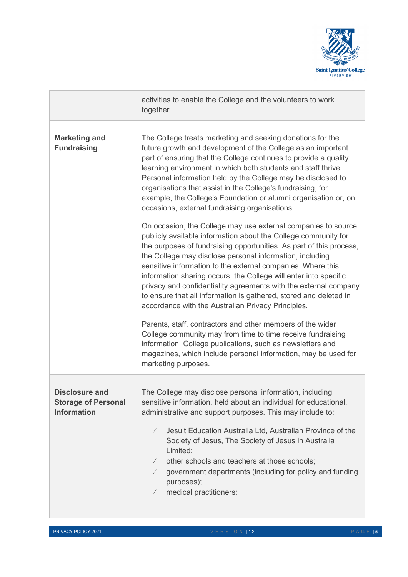

|                                                                           | activities to enable the College and the volunteers to work<br>together.                                                                                                                                                                                                                                                                                                                                                                                                                                                                                                                             |  |  |  |  |  |
|---------------------------------------------------------------------------|------------------------------------------------------------------------------------------------------------------------------------------------------------------------------------------------------------------------------------------------------------------------------------------------------------------------------------------------------------------------------------------------------------------------------------------------------------------------------------------------------------------------------------------------------------------------------------------------------|--|--|--|--|--|
| <b>Marketing and</b><br><b>Fundraising</b>                                | The College treats marketing and seeking donations for the<br>future growth and development of the College as an important<br>part of ensuring that the College continues to provide a quality<br>learning environment in which both students and staff thrive.<br>Personal information held by the College may be disclosed to<br>organisations that assist in the College's fundraising, for<br>example, the College's Foundation or alumni organisation or, on<br>occasions, external fundraising organisations.                                                                                  |  |  |  |  |  |
|                                                                           | On occasion, the College may use external companies to source<br>publicly available information about the College community for<br>the purposes of fundraising opportunities. As part of this process,<br>the College may disclose personal information, including<br>sensitive information to the external companies. Where this<br>information sharing occurs, the College will enter into specific<br>privacy and confidentiality agreements with the external company<br>to ensure that all information is gathered, stored and deleted in<br>accordance with the Australian Privacy Principles. |  |  |  |  |  |
|                                                                           | Parents, staff, contractors and other members of the wider<br>College community may from time to time receive fundraising<br>information. College publications, such as newsletters and<br>magazines, which include personal information, may be used for<br>marketing purposes.                                                                                                                                                                                                                                                                                                                     |  |  |  |  |  |
| <b>Disclosure and</b><br><b>Storage of Personal</b><br><b>Information</b> | The College may disclose personal information, including<br>sensitive information, held about an individual for educational,<br>administrative and support purposes. This may include to:<br>Jesuit Education Australia Ltd, Australian Province of the<br>$\sqrt{2}$<br>Society of Jesus, The Society of Jesus in Australia<br>Limited;<br>other schools and teachers at those schools;<br>$\sqrt{2}$<br>government departments (including for policy and funding<br>$\sqrt{2}$<br>purposes);<br>medical practitioners;<br>$\sqrt{2}$                                                               |  |  |  |  |  |

г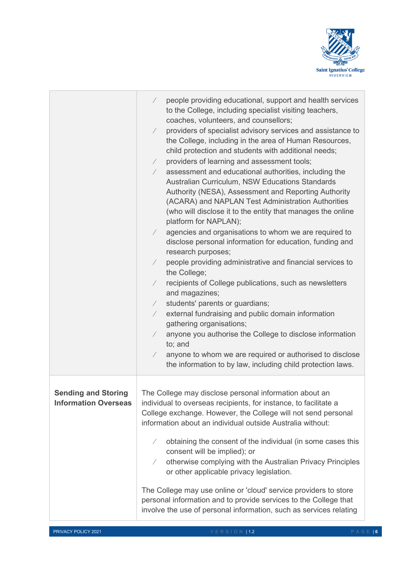

|                                                           | people providing educational, support and health services<br>to the College, including specialist visiting teachers,<br>coaches, volunteers, and counsellors;<br>providers of specialist advisory services and assistance to<br>the College, including in the area of Human Resources,<br>child protection and students with additional needs;<br>providers of learning and assessment tools;<br>$\sqrt{2}$<br>assessment and educational authorities, including the<br>$\sqrt{2}$<br>Australian Curriculum, NSW Educations Standards<br>Authority (NESA), Assessment and Reporting Authority<br>(ACARA) and NAPLAN Test Administration Authorities<br>(who will disclose it to the entity that manages the online<br>platform for NAPLAN);<br>agencies and organisations to whom we are required to<br>disclose personal information for education, funding and<br>research purposes;<br>people providing administrative and financial services to<br>the College;<br>recipients of College publications, such as newsletters<br>and magazines;<br>students' parents or guardians;<br>$\sqrt{2}$<br>external fundraising and public domain information<br>$\sqrt{2}$<br>gathering organisations;<br>anyone you authorise the College to disclose information<br>to; and<br>anyone to whom we are required or authorised to disclose<br>$\sqrt{2}$<br>the information to by law, including child protection laws. |
|-----------------------------------------------------------|-------------------------------------------------------------------------------------------------------------------------------------------------------------------------------------------------------------------------------------------------------------------------------------------------------------------------------------------------------------------------------------------------------------------------------------------------------------------------------------------------------------------------------------------------------------------------------------------------------------------------------------------------------------------------------------------------------------------------------------------------------------------------------------------------------------------------------------------------------------------------------------------------------------------------------------------------------------------------------------------------------------------------------------------------------------------------------------------------------------------------------------------------------------------------------------------------------------------------------------------------------------------------------------------------------------------------------------------------------------------------------------------------------------------|
| <b>Sending and Storing</b><br><b>Information Overseas</b> | The College may disclose personal information about an<br>individual to overseas recipients, for instance, to facilitate a<br>College exchange. However, the College will not send personal<br>information about an individual outside Australia without:<br>obtaining the consent of the individual (in some cases this<br>consent will be implied); or<br>otherwise complying with the Australian Privacy Principles<br>or other applicable privacy legislation.<br>The College may use online or 'cloud' service providers to store<br>personal information and to provide services to the College that<br>involve the use of personal information, such as services relating                                                                                                                                                                                                                                                                                                                                                                                                                                                                                                                                                                                                                                                                                                                                  |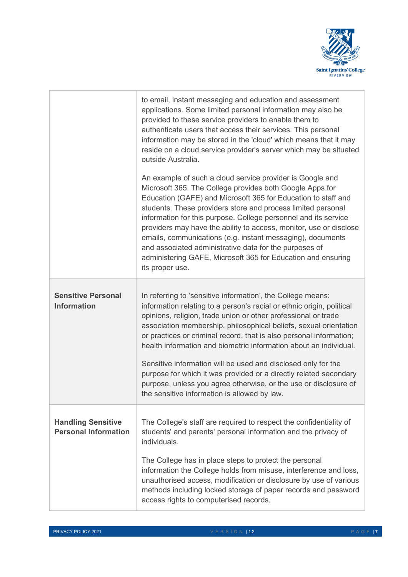

|                                                          | to email, instant messaging and education and assessment<br>applications. Some limited personal information may also be<br>provided to these service providers to enable them to<br>authenticate users that access their services. This personal<br>information may be stored in the 'cloud' which means that it may<br>reside on a cloud service provider's server which may be situated<br>outside Australia.                                                                                                                                                                                                                                                                   |  |  |  |
|----------------------------------------------------------|-----------------------------------------------------------------------------------------------------------------------------------------------------------------------------------------------------------------------------------------------------------------------------------------------------------------------------------------------------------------------------------------------------------------------------------------------------------------------------------------------------------------------------------------------------------------------------------------------------------------------------------------------------------------------------------|--|--|--|
|                                                          | An example of such a cloud service provider is Google and<br>Microsoft 365. The College provides both Google Apps for<br>Education (GAFE) and Microsoft 365 for Education to staff and<br>students. These providers store and process limited personal<br>information for this purpose. College personnel and its service<br>providers may have the ability to access, monitor, use or disclose<br>emails, communications (e.g. instant messaging), documents<br>and associated administrative data for the purposes of<br>administering GAFE, Microsoft 365 for Education and ensuring<br>its proper use.                                                                        |  |  |  |
| <b>Sensitive Personal</b><br><b>Information</b>          | In referring to 'sensitive information', the College means:<br>information relating to a person's racial or ethnic origin, political<br>opinions, religion, trade union or other professional or trade<br>association membership, philosophical beliefs, sexual orientation<br>or practices or criminal record, that is also personal information;<br>health information and biometric information about an individual.<br>Sensitive information will be used and disclosed only for the<br>purpose for which it was provided or a directly related secondary<br>purpose, unless you agree otherwise, or the use or disclosure of<br>the sensitive information is allowed by law. |  |  |  |
| <b>Handling Sensitive</b><br><b>Personal Information</b> | The College's staff are required to respect the confidentiality of<br>students' and parents' personal information and the privacy of<br>individuals.<br>The College has in place steps to protect the personal<br>information the College holds from misuse, interference and loss,<br>unauthorised access, modification or disclosure by use of various<br>methods including locked storage of paper records and password<br>access rights to computerised records.                                                                                                                                                                                                              |  |  |  |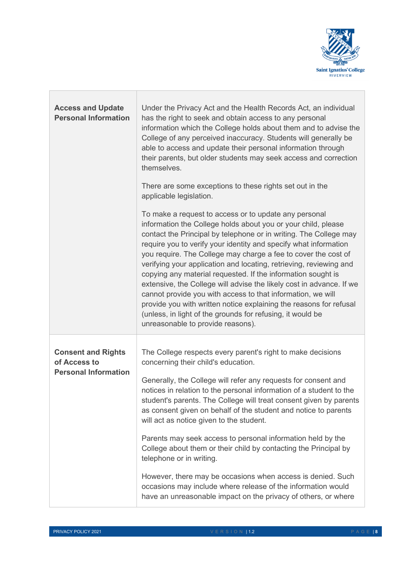

| <b>Access and Update</b><br><b>Personal Information</b>                  | Under the Privacy Act and the Health Records Act, an individual<br>has the right to seek and obtain access to any personal<br>information which the College holds about them and to advise the<br>College of any perceived inaccuracy. Students will generally be<br>able to access and update their personal information through<br>their parents, but older students may seek access and correction<br>themselves.<br>There are some exceptions to these rights set out in the<br>applicable legislation.<br>To make a request to access or to update any personal<br>information the College holds about you or your child, please<br>contact the Principal by telephone or in writing. The College may<br>require you to verify your identity and specify what information<br>you require. The College may charge a fee to cover the cost of<br>verifying your application and locating, retrieving, reviewing and<br>copying any material requested. If the information sought is<br>extensive, the College will advise the likely cost in advance. If we<br>cannot provide you with access to that information, we will<br>provide you with written notice explaining the reasons for refusal<br>(unless, in light of the grounds for refusing, it would be<br>unreasonable to provide reasons). |
|--------------------------------------------------------------------------|--------------------------------------------------------------------------------------------------------------------------------------------------------------------------------------------------------------------------------------------------------------------------------------------------------------------------------------------------------------------------------------------------------------------------------------------------------------------------------------------------------------------------------------------------------------------------------------------------------------------------------------------------------------------------------------------------------------------------------------------------------------------------------------------------------------------------------------------------------------------------------------------------------------------------------------------------------------------------------------------------------------------------------------------------------------------------------------------------------------------------------------------------------------------------------------------------------------------------------------------------------------------------------------------------------|
| <b>Consent and Rights</b><br>of Access to<br><b>Personal Information</b> | The College respects every parent's right to make decisions<br>concerning their child's education.<br>Generally, the College will refer any requests for consent and<br>notices in relation to the personal information of a student to the<br>student's parents. The College will treat consent given by parents<br>as consent given on behalf of the student and notice to parents<br>will act as notice given to the student.<br>Parents may seek access to personal information held by the<br>College about them or their child by contacting the Principal by<br>telephone or in writing.<br>However, there may be occasions when access is denied. Such<br>occasions may include where release of the information would<br>have an unreasonable impact on the privacy of others, or where                                                                                                                                                                                                                                                                                                                                                                                                                                                                                                       |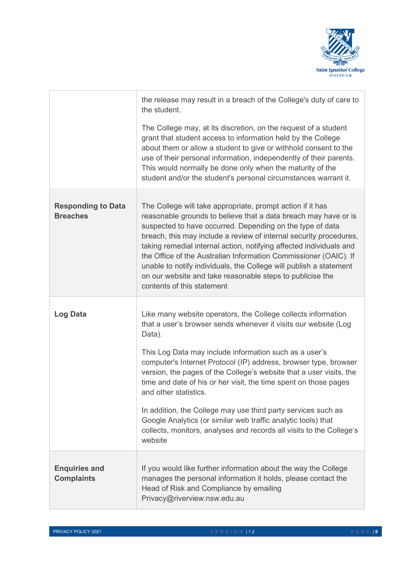

|                                              | the release may result in a breach of the College's duty of care to<br>the student.<br>The College may, at its discretion, on the request of a student<br>grant that student access to information held by the College<br>about them or allow a student to give or withhold consent to the<br>use of their personal information, independently of their parents.<br>This would normally be done only when the maturity of the<br>student and/or the student's personal circumstances warrant it.                                                                                                                                                                  |
|----------------------------------------------|-------------------------------------------------------------------------------------------------------------------------------------------------------------------------------------------------------------------------------------------------------------------------------------------------------------------------------------------------------------------------------------------------------------------------------------------------------------------------------------------------------------------------------------------------------------------------------------------------------------------------------------------------------------------|
| <b>Responding to Data</b><br><b>Breaches</b> | The College will take appropriate, prompt action if it has<br>reasonable grounds to believe that a data breach may have or is<br>suspected to have occurred. Depending on the type of data<br>breach, this may include a review of internal security procedures,<br>taking remedial internal action, notifying affected individuals and<br>the Office of the Australian Information Commissioner (OAIC). If<br>unable to notify individuals, the College will publish a statement<br>on our website and take reasonable steps to publicise the<br>contents of this statement                                                                                      |
| <b>Log Data</b>                              | Like many website operators, the College collects information<br>that a user's browser sends whenever it visits our website (Log<br>Data).<br>This Log Data may include information such as a user's<br>computer's Internet Protocol (IP) address, browser type, browser<br>version, the pages of the College's website that a user visits, the<br>time and date of his or her visit, the time spent on those pages<br>and other statistics.<br>In addition, the College may use third party services such as<br>Google Analytics (or similar web traffic analytic tools) that<br>collects, monitors, analyses and records all visits to the College's<br>website |
| <b>Enquiries and</b><br><b>Complaints</b>    | If you would like further information about the way the College<br>manages the personal information it holds, please contact the<br>Head of Risk and Compliance by emailing<br>Privacy@riverview.nsw.edu.au                                                                                                                                                                                                                                                                                                                                                                                                                                                       |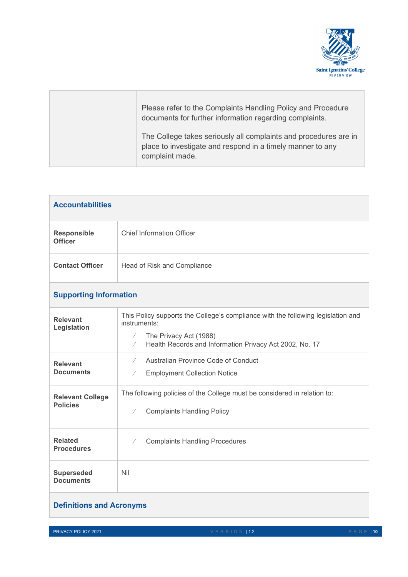

| Please refer to the Complaints Handling Policy and Procedure<br>documents for further information regarding complaints.                           |
|---------------------------------------------------------------------------------------------------------------------------------------------------|
| The College takes seriously all complaints and procedures are in<br>place to investigate and respond in a timely manner to any<br>complaint made. |

| <b>Accountabilities</b>                    |                                                                                                                                                                                                                 |  |  |  |
|--------------------------------------------|-----------------------------------------------------------------------------------------------------------------------------------------------------------------------------------------------------------------|--|--|--|
| Responsible<br><b>Officer</b>              | <b>Chief Information Officer</b>                                                                                                                                                                                |  |  |  |
| <b>Contact Officer</b>                     | Head of Risk and Compliance                                                                                                                                                                                     |  |  |  |
| <b>Supporting Information</b>              |                                                                                                                                                                                                                 |  |  |  |
| <b>Relevant</b><br>Legislation             | This Policy supports the College's compliance with the following legislation and<br>instruments:<br>The Privacy Act (1988)<br>$\angle$<br>Health Records and Information Privacy Act 2002, No. 17<br>$\sqrt{2}$ |  |  |  |
| <b>Relevant</b><br><b>Documents</b>        | Australian Province Code of Conduct<br>$\sqrt{2}$<br><b>Employment Collection Notice</b><br>$\sqrt{2}$                                                                                                          |  |  |  |
| <b>Relevant College</b><br><b>Policies</b> | The following policies of the College must be considered in relation to:<br><b>Complaints Handling Policy</b><br>Γ                                                                                              |  |  |  |
| <b>Related</b><br><b>Procedures</b>        | <b>Complaints Handling Procedures</b><br>Γ                                                                                                                                                                      |  |  |  |
| <b>Superseded</b><br><b>Documents</b>      | Nil                                                                                                                                                                                                             |  |  |  |
| <b>Definitions and Acronyms</b>            |                                                                                                                                                                                                                 |  |  |  |